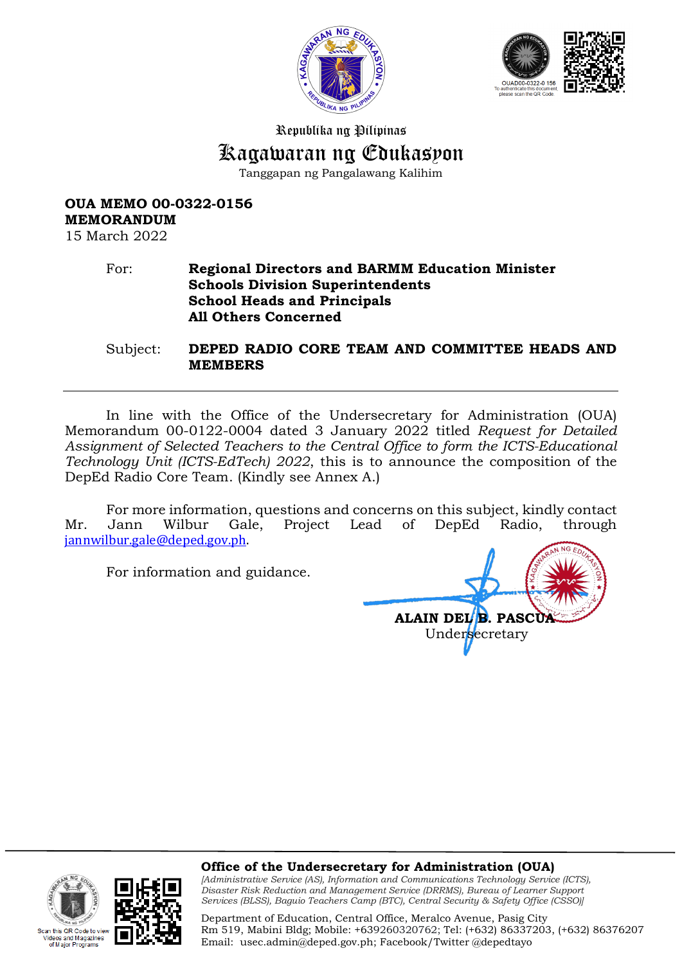



Republika ng Pilipinas

# Kagawaran ng Edukasyon

Tanggapan ng Pangalawang Kalihim

## **OUA MEMO 00-0322-0156 MEMORANDUM**

15 March 2022

Code to via eos and Magazines<br>f Major Programs

#### For: **Regional Directors and BARMM Education Minister Schools Division Superintendents School Heads and Principals All Others Concerned**

Subject: **DEPED RADIO CORE TEAM AND COMMITTEE HEADS AND MEMBERS** 

In line with the Office of the Undersecretary for Administration (OUA) Memorandum 00-0122-0004 dated 3 January 2022 titled *Request for Detailed Assignment of Selected Teachers to the Central Office to form the ICTS-Educational Technology Unit (ICTS-EdTech) 2022*, this is to announce the composition of the DepEd Radio Core Team. (Kindly see Annex A.)

For more information, questions and concerns on this subject, kindly contact Mr. Jann Wilbur Gale, Project Lead of DepEd Radio, through [jannwilbur.gale@deped.gov.ph.](mailto:jannwilbur.gale@deped.gov.ph) 

For information and guidance.

**ALAIN DEL B. PASCUA** Undersecretary

#### **Office of the Undersecretary for Administration (OUA)**

*[Administrative Service (AS), Information and Communications Technology Service (ICTS), Disaster Risk Reduction and Management Service (DRRMS), Bureau of Learner Support Services (BLSS), Baguio Teachers Camp (BTC), Central Security & Safety Office (CSSO)]*

Department of Education, Central Office, Meralco Avenue, Pasig City Rm 519, Mabini Bldg; Mobile: +639260320762; Tel: (+632) 86337203, (+632) 86376207 Email: [usec.admin@deped.gov.ph;](mailto:usec.admin@deped.gov.ph) Facebook/Twitter @depedtayo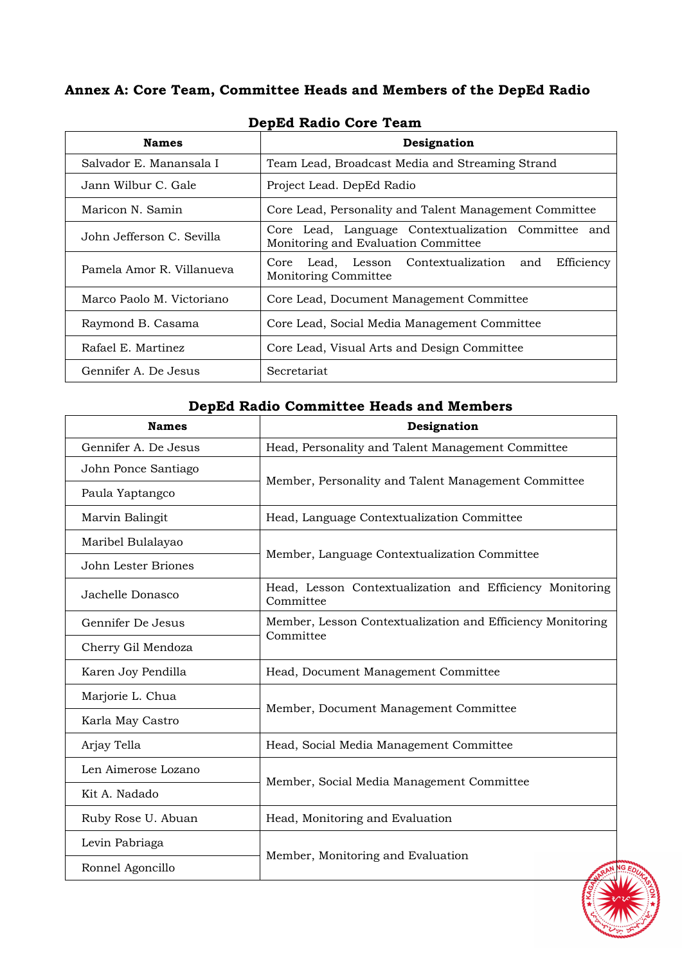## **Annex A: Core Team, Committee Heads and Members of the DepEd Radio**

| <b>Names</b>              | Designation                                                                                |
|---------------------------|--------------------------------------------------------------------------------------------|
| Salvador E. Manansala I   | Team Lead, Broadcast Media and Streaming Strand                                            |
| Jann Wilbur C. Gale       | Project Lead. DepEd Radio                                                                  |
| Maricon N. Samin          | Core Lead, Personality and Talent Management Committee                                     |
| John Jefferson C. Sevilla | Core Lead, Language Contextualization Committee and<br>Monitoring and Evaluation Committee |
| Pamela Amor R. Villanueva | Efficiency<br>Core Lead, Lesson Contextualization and<br>Monitoring Committee              |
| Marco Paolo M. Victoriano | Core Lead, Document Management Committee                                                   |
| Raymond B. Casama         | Core Lead, Social Media Management Committee                                               |
| Rafael E. Martinez        | Core Lead, Visual Arts and Design Committee                                                |
| Gennifer A. De Jesus      | Secretariat                                                                                |

#### **DepEd Radio Core Team**

## **DepEd Radio Committee Heads and Members**

| <b>Names</b>         | Designation                                                             |
|----------------------|-------------------------------------------------------------------------|
| Gennifer A. De Jesus | Head, Personality and Talent Management Committee                       |
| John Ponce Santiago  | Member, Personality and Talent Management Committee                     |
| Paula Yaptangco      |                                                                         |
| Marvin Balingit      | Head, Language Contextualization Committee                              |
| Maribel Bulalayao    | Member, Language Contextualization Committee                            |
| John Lester Briones  |                                                                         |
| Jachelle Donasco     | Head, Lesson Contextualization and Efficiency Monitoring<br>Committee   |
| Gennifer De Jesus    | Member, Lesson Contextualization and Efficiency Monitoring<br>Committee |
| Cherry Gil Mendoza   |                                                                         |
| Karen Joy Pendilla   | Head, Document Management Committee                                     |
| Marjorie L. Chua     | Member, Document Management Committee                                   |
| Karla May Castro     |                                                                         |
| Arjay Tella          | Head, Social Media Management Committee                                 |
| Len Aimerose Lozano  | Member, Social Media Management Committee                               |
| Kit A. Nadado        |                                                                         |
| Ruby Rose U. Abuan   | Head, Monitoring and Evaluation                                         |
| Levin Pabriaga       | Member, Monitoring and Evaluation                                       |
| Ronnel Agoncillo     |                                                                         |